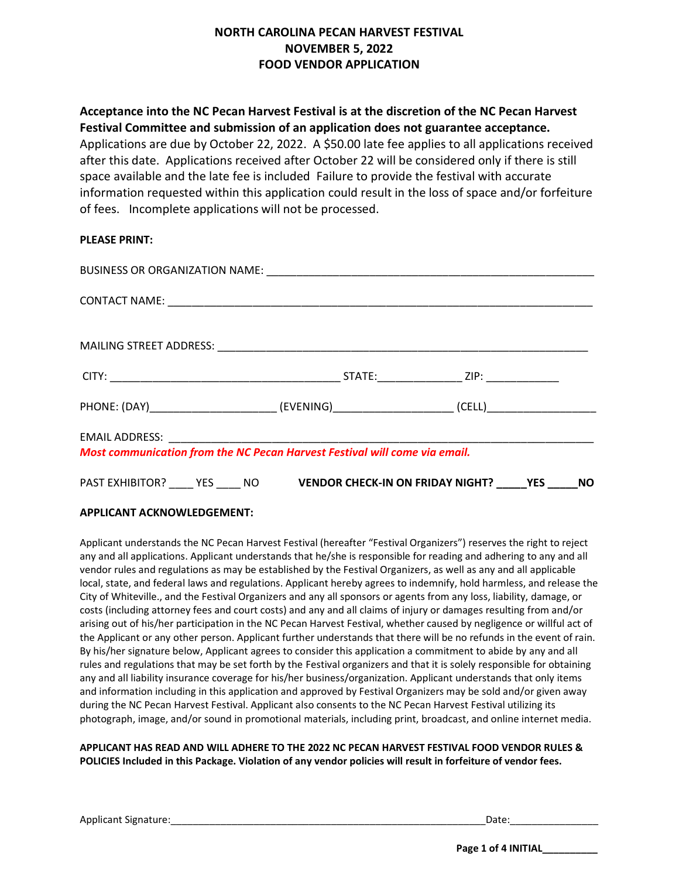# **NORTH CAROLINA PECAN HARVEST FESTIVAL NOVEMBER 5, 2022 FOOD VENDOR APPLICATION**

**Acceptance into the NC Pecan Harvest Festival is at the discretion of the NC Pecan Harvest Festival Committee and submission of an application does not guarantee acceptance.**  Applications are due by October 22, 2022. A \$50.00 late fee applies to all applications received after this date. Applications received after October 22 will be considered only if there is still space available and the late fee is includedFailure to provide the festival with accurate information requested within this application could result in the loss of space and/or forfeiture of fees. Incomplete applications will not be processed.

## **PLEASE PRINT:**

| PHONE: (DAY)______________________________(EVENING)_____________________________(CELL)________________________ |  |  |
|----------------------------------------------------------------------------------------------------------------|--|--|
| Most communication from the NC Pecan Harvest Festival will come via email.                                     |  |  |
| PAST EXHIBITOR? YES NO VENDOR CHECK-IN ON FRIDAY NIGHT? VES _____ NO                                           |  |  |

## **APPLICANT ACKNOWLEDGEMENT:**

Applicant understands the NC Pecan Harvest Festival (hereafter "Festival Organizers") reserves the right to reject any and all applications. Applicant understands that he/she is responsible for reading and adhering to any and all vendor rules and regulations as may be established by the Festival Organizers, as well as any and all applicable local, state, and federal laws and regulations. Applicant hereby agrees to indemnify, hold harmless, and release the City of Whiteville., and the Festival Organizers and any all sponsors or agents from any loss, liability, damage, or costs (including attorney fees and court costs) and any and all claims of injury or damages resulting from and/or arising out of his/her participation in the NC Pecan Harvest Festival, whether caused by negligence or willful act of the Applicant or any other person. Applicant further understands that there will be no refunds in the event of rain. By his/her signature below, Applicant agrees to consider this application a commitment to abide by any and all rules and regulations that may be set forth by the Festival organizers and that it is solely responsible for obtaining any and all liability insurance coverage for his/her business/organization. Applicant understands that only items and information including in this application and approved by Festival Organizers may be sold and/or given away during the NC Pecan Harvest Festival. Applicant also consents to the NC Pecan Harvest Festival utilizing its photograph, image, and/or sound in promotional materials, including print, broadcast, and online internet media.

**APPLICANT HAS READ AND WILL ADHERE TO THE 2022 NC PECAN HARVEST FESTIVAL FOOD VENDOR RULES & POLICIES Included in this Package. Violation of any vendor policies will result in forfeiture of vendor fees.** 

Applicant Signature:\_\_\_\_\_\_\_\_\_\_\_\_\_\_\_\_\_\_\_\_\_\_\_\_\_\_\_\_\_\_\_\_\_\_\_\_\_\_\_\_\_\_\_\_\_\_\_\_\_\_\_\_\_\_\_\_\_Date:\_\_\_\_\_\_\_\_\_\_\_\_\_\_\_\_

 **Page 1 of 4 INITIAL\_\_\_\_\_\_\_\_\_\_**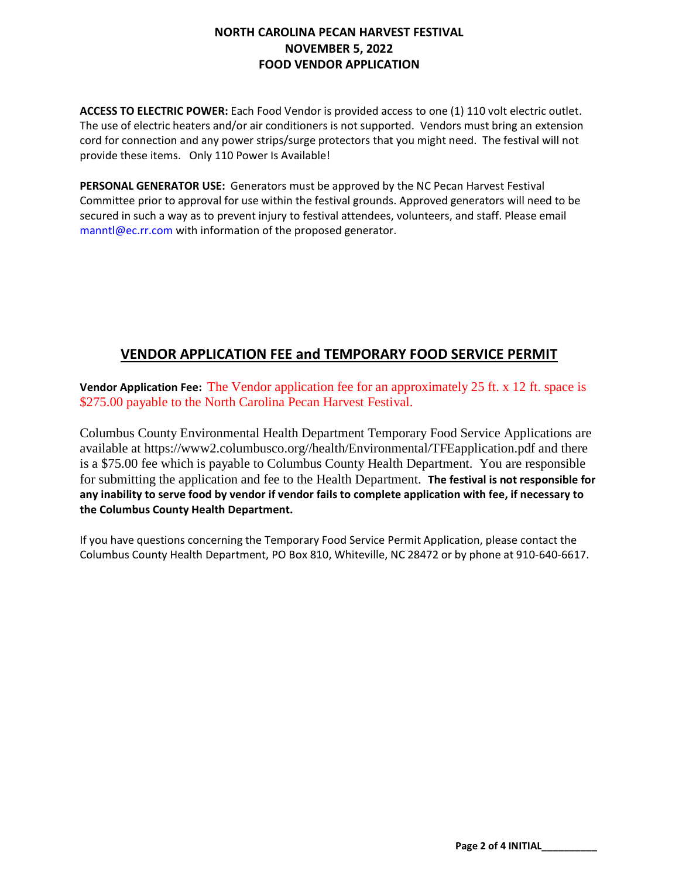# **NORTH CAROLINA PECAN HARVEST FESTIVAL NOVEMBER 5, 2022 FOOD VENDOR APPLICATION**

**ACCESS TO ELECTRIC POWER:** Each Food Vendor is provided access to one (1) 110 volt electric outlet. The use of electric heaters and/or air conditioners is not supported. Vendors must bring an extension cord for connection and any power strips/surge protectors that you might need. The festival will not provide these items. Only 110 Power Is Available!

**PERSONAL GENERATOR USE:** Generators must be approved by the NC Pecan Harvest Festival Committee prior to approval for use within the festival grounds. Approved generators will need to be secured in such a way as to prevent injury to festival attendees, volunteers, and staff. Please email manntl@ec.rr.com with information of the proposed generator.

# **VENDOR APPLICATION FEE and TEMPORARY FOOD SERVICE PERMIT**

**Vendor Application Fee:** The Vendor application fee for an approximately 25 ft. x 12 ft. space is \$275.00 payable to the North Carolina Pecan Harvest Festival.

Columbus County Environmental Health Department Temporary Food Service Applications are available at https://www2.columbusco.org//health/Environmental/TFEapplication.pdf and there is a \$75.00 fee which is payable to Columbus County Health Department. You are responsible for submitting the application and fee to the Health Department. **The festival is not responsible for any inability to serve food by vendor if vendor fails to complete application with fee, if necessary to the Columbus County Health Department.** 

If you have questions concerning the Temporary Food Service Permit Application, please contact the Columbus County Health Department, PO Box 810, Whiteville, NC 28472 or by phone at 910-640-6617.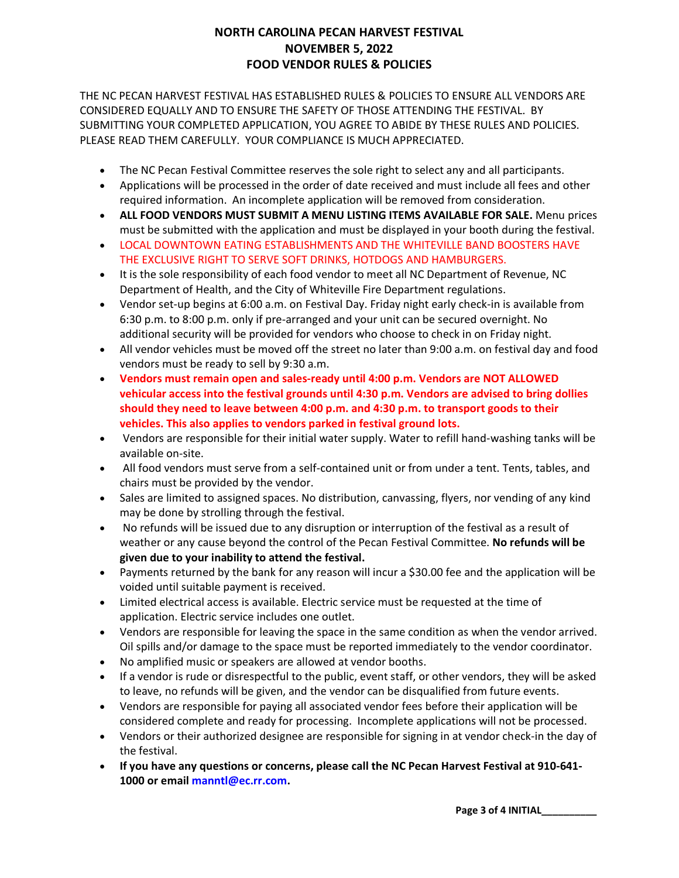# **NORTH CAROLINA PECAN HARVEST FESTIVAL NOVEMBER 5, 2022 FOOD VENDOR RULES & POLICIES**

THE NC PECAN HARVEST FESTIVAL HAS ESTABLISHED RULES & POLICIES TO ENSURE ALL VENDORS ARE CONSIDERED EQUALLY AND TO ENSURE THE SAFETY OF THOSE ATTENDING THE FESTIVAL. BY SUBMITTING YOUR COMPLETED APPLICATION, YOU AGREE TO ABIDE BY THESE RULES AND POLICIES. PLEASE READ THEM CAREFULLY. YOUR COMPLIANCE IS MUCH APPRECIATED.

- The NC Pecan Festival Committee reserves the sole right to select any and all participants.
- Applications will be processed in the order of date received and must include all fees and other required information. An incomplete application will be removed from consideration.
- **ALL FOOD VENDORS MUST SUBMIT A MENU LISTING ITEMS AVAILABLE FOR SALE.** Menu prices must be submitted with the application and must be displayed in your booth during the festival.
- LOCAL DOWNTOWN EATING ESTABLISHMENTS AND THE WHITEVILLE BAND BOOSTERS HAVE THE EXCLUSIVE RIGHT TO SERVE SOFT DRINKS, HOTDOGS AND HAMBURGERS.
- It is the sole responsibility of each food vendor to meet all NC Department of Revenue, NC Department of Health, and the City of Whiteville Fire Department regulations.
- Vendor set-up begins at 6:00 a.m. on Festival Day. Friday night early check-in is available from 6:30 p.m. to 8:00 p.m. only if pre-arranged and your unit can be secured overnight. No additional security will be provided for vendors who choose to check in on Friday night.
- All vendor vehicles must be moved off the street no later than 9:00 a.m. on festival day and food vendors must be ready to sell by 9:30 a.m.
- **Vendors must remain open and sales-ready until 4:00 p.m. Vendors are NOT ALLOWED vehicular access into the festival grounds until 4:30 p.m. Vendors are advised to bring dollies should they need to leave between 4:00 p.m. and 4:30 p.m. to transport goods to their vehicles. This also applies to vendors parked in festival ground lots.**
- Vendors are responsible for their initial water supply. Water to refill hand-washing tanks will be available on-site.
- All food vendors must serve from a self-contained unit or from under a tent. Tents, tables, and chairs must be provided by the vendor.
- Sales are limited to assigned spaces. No distribution, canvassing, flyers, nor vending of any kind may be done by strolling through the festival.
- No refunds will be issued due to any disruption or interruption of the festival as a result of weather or any cause beyond the control of the Pecan Festival Committee. **No refunds will be given due to your inability to attend the festival.**
- Payments returned by the bank for any reason will incur a \$30.00 fee and the application will be voided until suitable payment is received.
- Limited electrical access is available. Electric service must be requested at the time of application. Electric service includes one outlet.
- Vendors are responsible for leaving the space in the same condition as when the vendor arrived. Oil spills and/or damage to the space must be reported immediately to the vendor coordinator.
- No amplified music or speakers are allowed at vendor booths.
- If a vendor is rude or disrespectful to the public, event staff, or other vendors, they will be asked to leave, no refunds will be given, and the vendor can be disqualified from future events.
- Vendors are responsible for paying all associated vendor fees before their application will be considered complete and ready for processing. Incomplete applications will not be processed.
- Vendors or their authorized designee are responsible for signing in at vendor check-in the day of the festival.
- **If you have any questions or concerns, please call the NC Pecan Harvest Festival at 910-641- 1000 or email manntl@ec.rr.com.**

**Page 3 of 4 INITIAL\_\_\_\_\_\_\_\_\_\_**